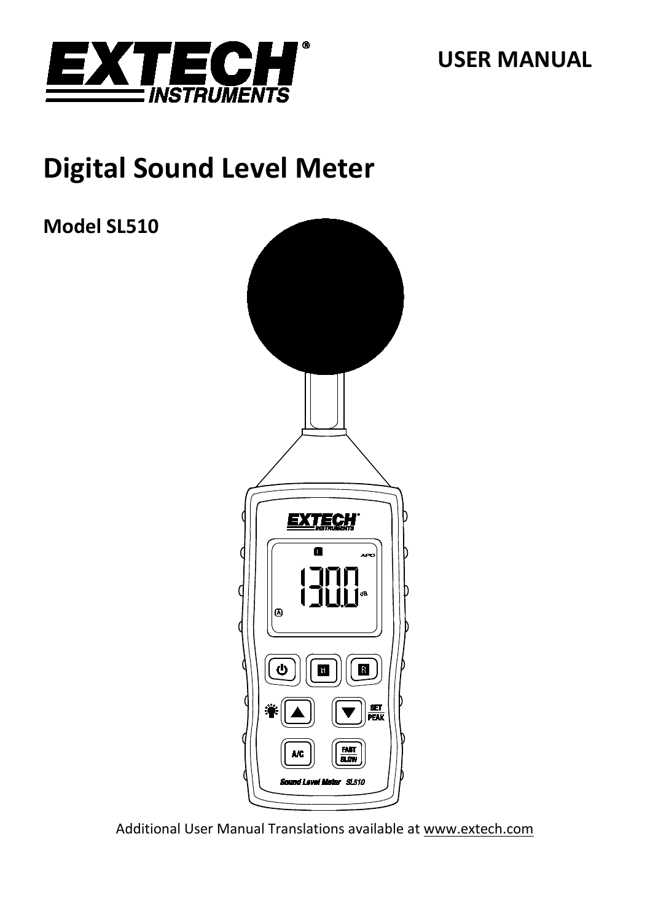

**USER MANUAL**

# **Digital Sound Level Meter**

**Model SL510**



Additional User Manual Translations available at [www.extech.com](http://www.extech.com/)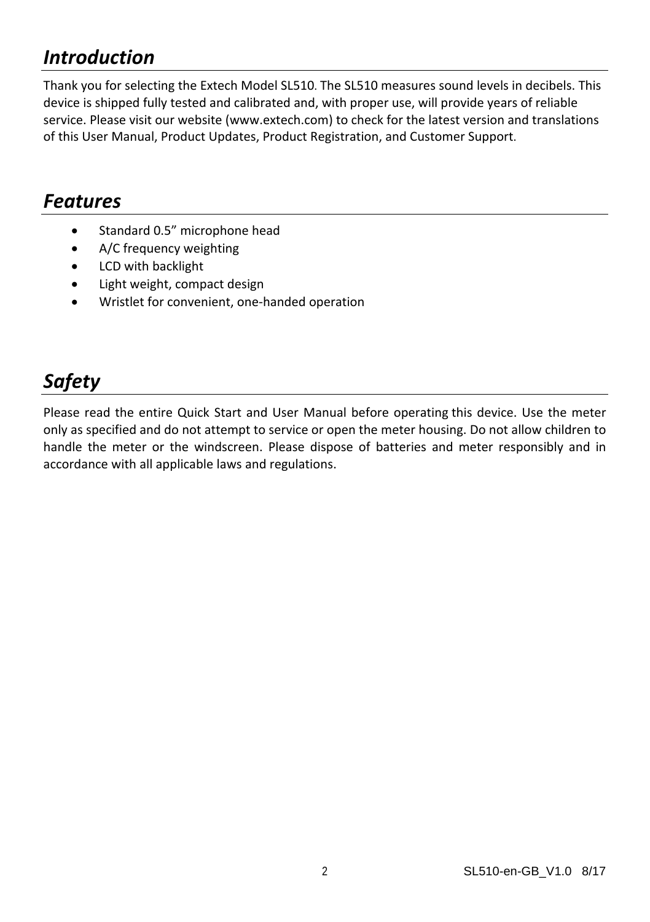### *Introduction*

Thank you for selecting the Extech Model SL510. The SL510 measures sound levels in decibels. This device is shipped fully tested and calibrated and, with proper use, will provide years of reliable service. Please visit our website [\(www.extech.com\)](http://www.extech.com/) to check for the latest version and translations of this User Manual, Product Updates, Product Registration, and Customer Support.

### *Features*

- Standard 0.5" microphone head
- A/C frequency weighting
- LCD with backlight
- Light weight, compact design
- Wristlet for convenient, one-handed operation

# *Safety*

Please read the entire Quick Start and User Manual before operating this device. Use the meter only as specified and do not attempt to service or open the meter housing. Do not allow children to handle the meter or the windscreen. Please dispose of batteries and meter responsibly and in accordance with all applicable laws and regulations.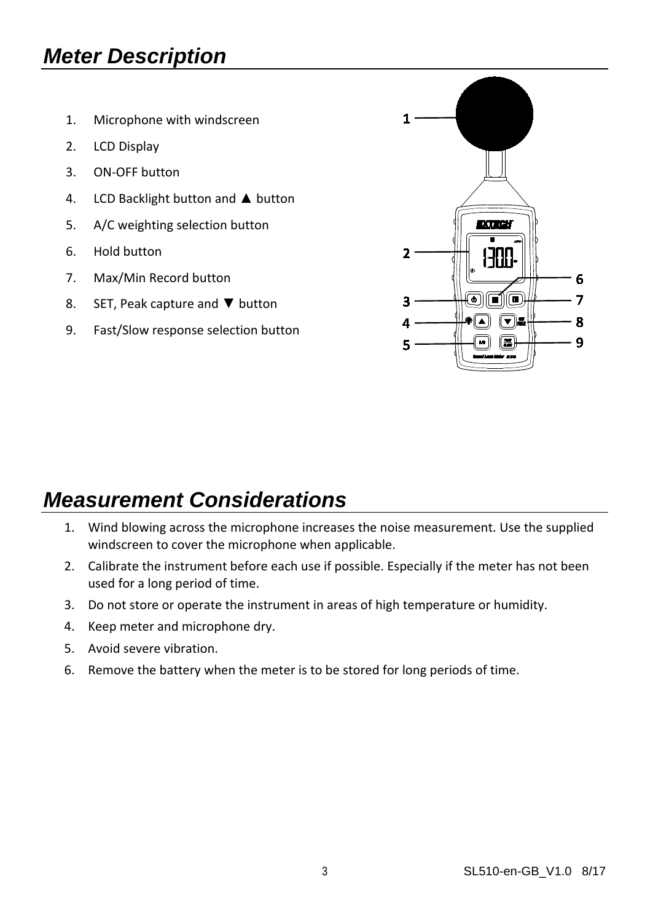# *Meter Description*

- 1. Microphone with windscreen
- 2. LCD Display
- 3. ON-OFF button
- 4. LCD Backlight button and ▲ button
- 5. A/C weighting selection button
- 6. Hold button
- 7. Max/Min Record button
- 8. SET, Peak capture and ▼ button
- 9. Fast/Slow response selection button



### *Measurement Considerations*

- 1. Wind blowing across the microphone increases the noise measurement. Use the supplied windscreen to cover the microphone when applicable.
- 2. Calibrate the instrument before each use if possible. Especially if the meter has not been used for a long period of time.
- 3. Do not store or operate the instrument in areas of high temperature or humidity.
- 4. Keep meter and microphone dry.
- 5. Avoid severe vibration.
- 6. Remove the battery when the meter is to be stored for long periods of time.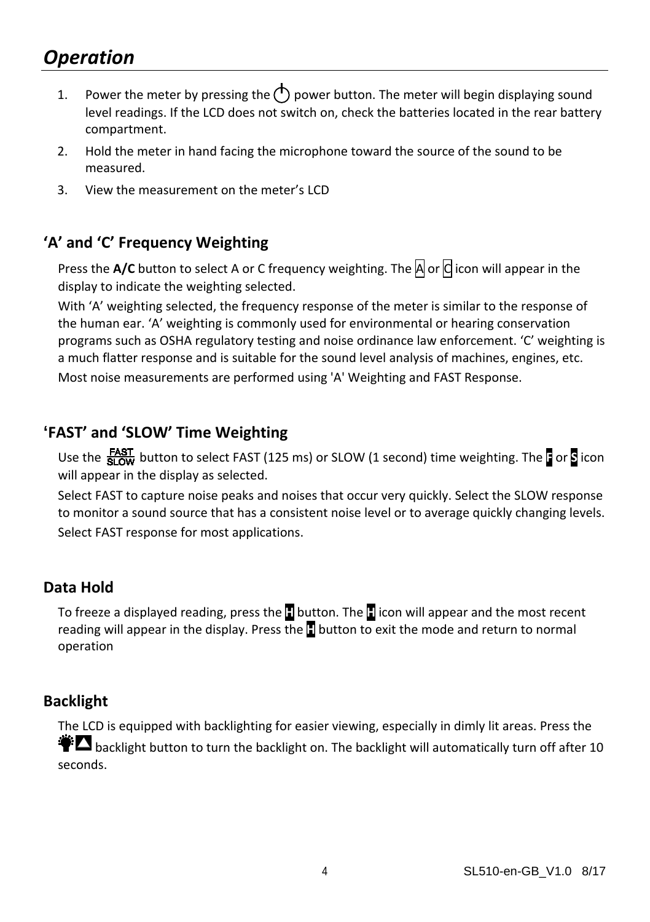### *Operation*

- 1. Power the meter by pressing the  $\langle \cdot \rangle$  power button. The meter will begin displaying sound level readings. If the LCD does not switch on, check the batteries located in the rear battery compartment.
- 2. Hold the meter in hand facing the microphone toward the source of the sound to be measured.
- 3. View the measurement on the meter's LCD

#### **'A' and 'C' Frequency Weighting**

Press the A/C button to select A or C frequency weighting. The **A** or **C** icon will appear in the display to indicate the weighting selected.

With 'A' weighting selected, the frequency response of the meter is similar to the response of the human ear. 'A' weighting is commonly used for environmental or hearing conservation programs such as OSHA regulatory testing and noise ordinance law enforcement. 'C' weighting is a much flatter response and is suitable for the sound level analysis of machines, engines, etc. Most noise measurements are performed using 'A' Weighting and FAST Response.

#### **'FAST' and 'SLOW' Time Weighting**

Use the button to select FAST (125 ms) or SLOW (1 second) time weighting. The **F** or **S** icon will appear in the display as selected.

Select FAST to capture noise peaks and noises that occur very quickly. Select the SLOW response to monitor a sound source that has a consistent noise level or to average quickly changing levels. Select FAST response for most applications.

#### **Data Hold**

To freeze a displayed reading, press the **H** button. The **H** icon will appear and the most recent reading will appear in the display. Press the **H** button to exit the mode and return to normal operation

#### **Backlight**

The LCD is equipped with backlighting for easier viewing, especially in dimly lit areas. Press the  $\ddot{\bullet}$  backlieht button to turn the backlight on. The backlight will automatically turn off after 10 seconds.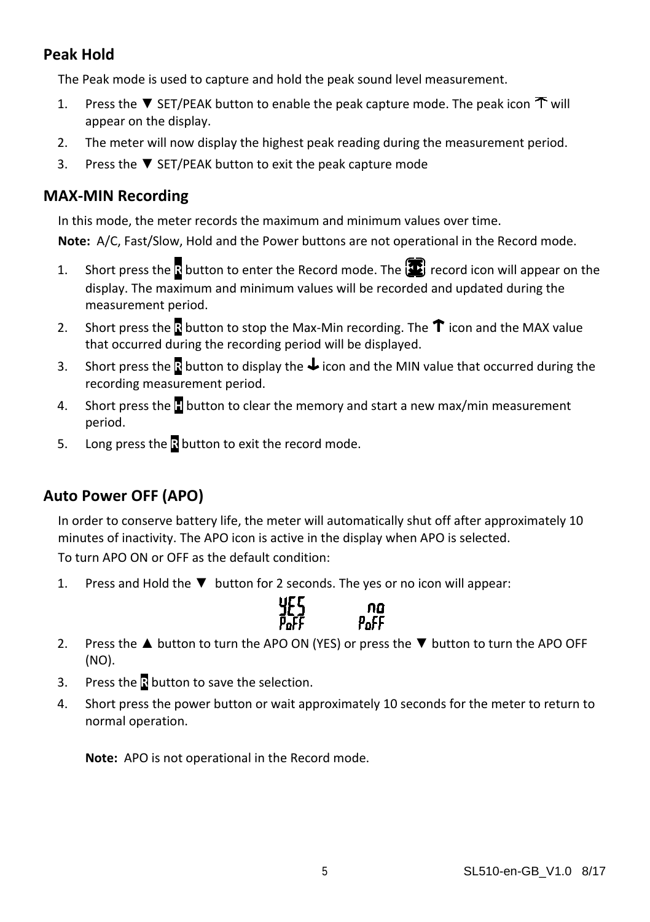#### **Peak Hold**

The Peak mode is used to capture and hold the peak sound level measurement.

- 1. Press the ▼ SET/PEAK button to enable the peak capture mode. The peak icon  $\tilde{T}$  will appear on the display.
- 2. The meter will now display the highest peak reading during the measurement period.
- 3. Press the ▼ SET/PEAK button to exit the peak capture mode

#### **MAX-MIN Recording**

In this mode, the meter records the maximum and minimum values over time.

**Note:** A/C, Fast/Slow, Hold and the Power buttons are not operational in the Record mode.

- 1. Short press the **R** button to enter the Record mode. The **P** record icon will appear on the display. The maximum and minimum values will be recorded and updated during the measurement period.
- 2. Short press the **R** button to stop the Max-Min recording. The  $\hat{\mathbf{T}}$  icon and the MAX value that occurred during the recording period will be displayed.
- 3. Short press the **R** button to display the **U** icon and the MIN value that occurred during the recording measurement period.
- 4. Short press the **H** button to clear the memory and start a new max/min measurement period.
- 5. Long press the **R** button to exit the record mode.

### **Auto Power OFF (APO)**

In order to conserve battery life, the meter will automatically shut off after approximately 10 minutes of inactivity. The APO icon is active in the display when APO is selected. To turn APO ON or OFF as the default condition:

1. Press and Hold the ▼ button for 2 seconds. The yes or no icon will appear:



- 2. Press the ▲ button to turn the APO ON (YES) or press the ▼ button to turn the APO OFF (NO).
- 3. Press the **R** button to save the selection.
- 4. Short press the power button or wait approximately 10 seconds for the meter to return to normal operation.

**Note:** APO is not operational in the Record mode.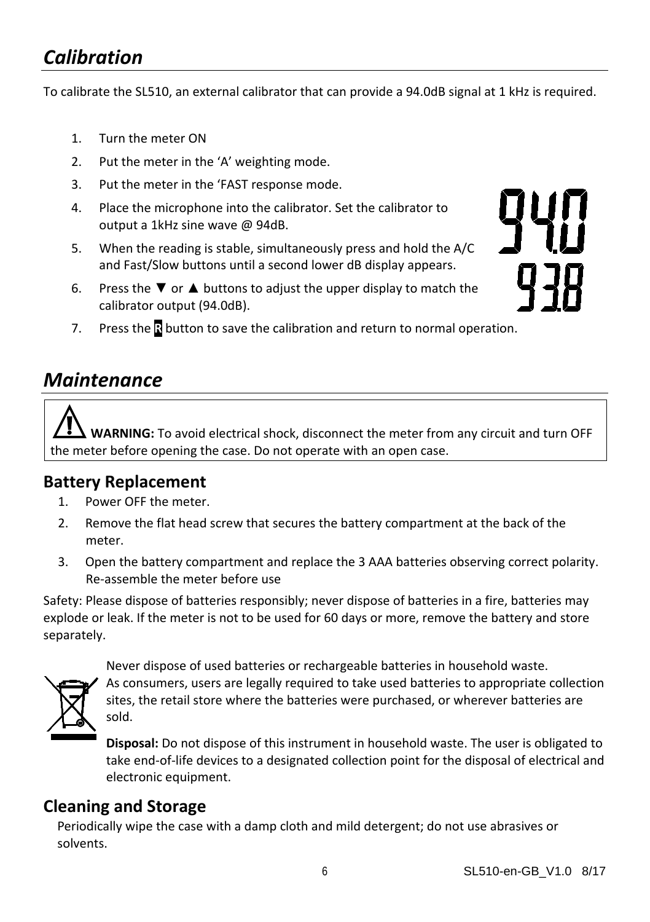### *Calibration*

To calibrate the SL510, an external calibrator that can provide a 94.0dB signal at 1 kHz is required.

- 1. Turn the meter ON
- 2. Put the meter in the 'A' weighting mode.
- 3. Put the meter in the 'FAST response mode.
- 4. Place the microphone into the calibrator. Set the calibrator to output a 1kHz sine wave @ 94dB.
- 5. When the reading is stable, simultaneously press and hold the A/C and Fast/Slow buttons until a second lower dB display appears.
- 6. Press the  $\blacktriangledown$  or  $\blacktriangle$  buttons to adjust the upper display to match the calibrator output (94.0dB).

7. Press the **R** button to save the calibration and return to normal operation.

### *Maintenance*

**WARNING:** To avoid electrical shock, disconnect the meter from any circuit and turn OFF the meter before opening the case. Do not operate with an open case.

#### **Battery Replacement**

- 1. Power OFF the meter.
- 2. Remove the flat head screw that secures the battery compartment at the back of the meter.
- 3. Open the battery compartment and replace the 3 AAA batteries observing correct polarity. Re-assemble the meter before use

Safety: Please dispose of batteries responsibly; never dispose of batteries in a fire, batteries may explode or leak. If the meter is not to be used for 60 days or more, remove the battery and store separately.



Never dispose of used batteries or rechargeable batteries in household waste. As consumers, users are legally required to take used batteries to appropriate collection sites, the retail store where the batteries were purchased, or wherever batteries are sold.

**Disposal:** Do not dispose of this instrument in household waste. The user is obligated to take end-of-life devices to a designated collection point for the disposal of electrical and electronic equipment.

#### **Cleaning and Storage**

Periodically wipe the case with a damp cloth and mild detergent; do not use abrasives or solvents.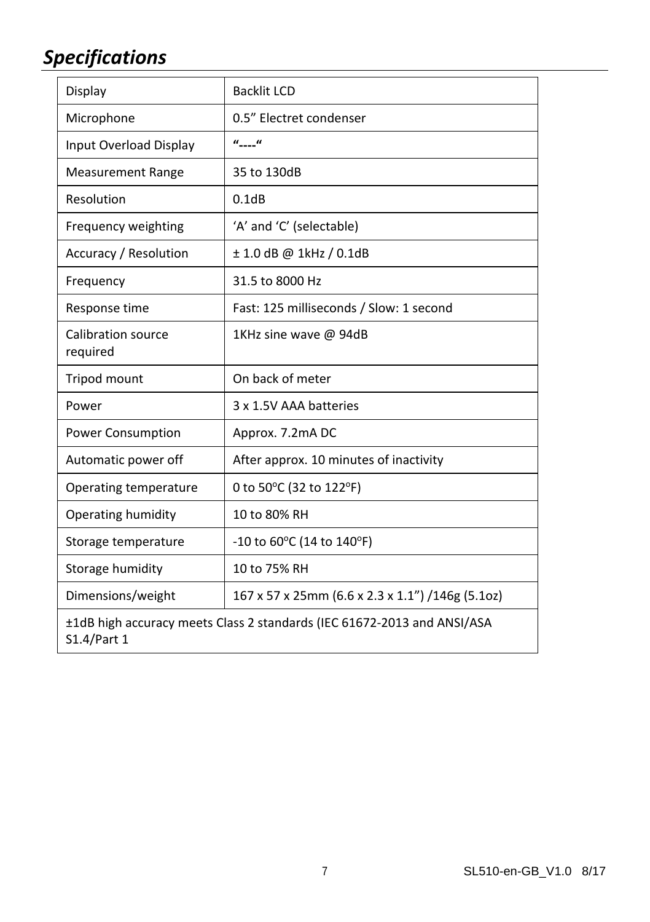# *Specifications*

| Display                               | <b>Backlit LCD</b>                               |  |
|---------------------------------------|--------------------------------------------------|--|
| Microphone                            | 0.5" Electret condenser                          |  |
| Input Overload Display                | $u_{\text{max}}$                                 |  |
| <b>Measurement Range</b>              | 35 to 130dB                                      |  |
| Resolution                            | 0.1dB                                            |  |
| Frequency weighting                   | 'A' and 'C' (selectable)                         |  |
| Accuracy / Resolution                 | $\pm$ 1.0 dB @ 1kHz / 0.1dB                      |  |
| Frequency                             | 31.5 to 8000 Hz                                  |  |
| Response time                         | Fast: 125 milliseconds / Slow: 1 second          |  |
| <b>Calibration source</b><br>required | 1KHz sine wave @ 94dB                            |  |
| Tripod mount                          | On back of meter                                 |  |
| Power                                 | 3 x 1.5V AAA batteries                           |  |
| <b>Power Consumption</b>              | Approx. 7.2mA DC                                 |  |
| Automatic power off                   | After approx. 10 minutes of inactivity           |  |
| Operating temperature                 | 0 to 50°C (32 to 122°F)                          |  |
| Operating humidity                    | 10 to 80% RH                                     |  |
| Storage temperature                   | $-10$ to 60°C (14 to 140°F)                      |  |
|                                       |                                                  |  |
| Storage humidity                      | 10 to 75% RH                                     |  |
| Dimensions/weight                     | 167 x 57 x 25mm (6.6 x 2.3 x 1.1") /146g (5.1oz) |  |